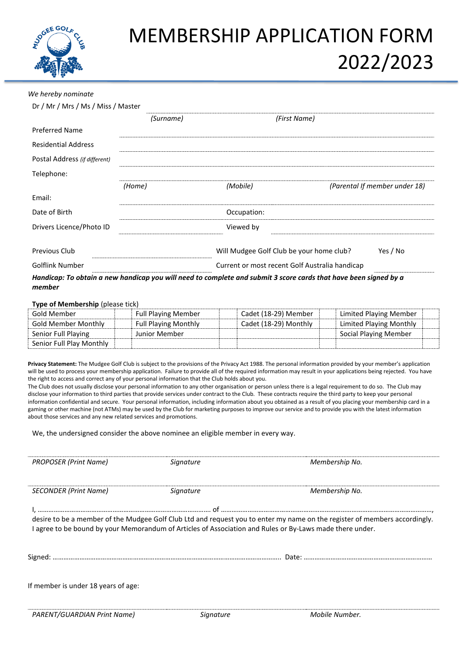

## MEMBERSHIP APPLICATION FORM 2022/2023

## *We hereby nominate*

| Dr / Mr / Mrs / Ms / Miss / Master |           |                                                                                                                  |                               |
|------------------------------------|-----------|------------------------------------------------------------------------------------------------------------------|-------------------------------|
|                                    | (Surname) | (First Name)                                                                                                     |                               |
| <b>Preferred Name</b>              |           |                                                                                                                  |                               |
| <b>Residential Address</b>         |           |                                                                                                                  |                               |
| Postal Address (if different)      |           |                                                                                                                  |                               |
| Telephone:                         |           |                                                                                                                  |                               |
|                                    | (Home)    | (Mobile)                                                                                                         | (Parental If member under 18) |
| Email:                             |           |                                                                                                                  |                               |
| Date of Birth                      |           | Occupation:                                                                                                      |                               |
| Drivers Licence/Photo ID           |           | Viewed by                                                                                                        |                               |
| Previous Club                      |           | Will Mudgee Golf Club be your home club?                                                                         | Yes / No                      |
| <b>Golflink Number</b>             |           | Current or most recent Golf Australia handicap                                                                   |                               |
| member                             |           | Handicap: To obtain a new handicap you will need to complete and submit 3 score cards that have been signed by a |                               |

## **Type of Membership** (please tick)

| Gold Member                | <b>Full Playing Member</b>  | Cadet (18-29) Member  | Limited Playing Member  |  |
|----------------------------|-----------------------------|-----------------------|-------------------------|--|
| <b>Gold Member Monthly</b> | <b>Full Playing Monthly</b> | Cadet (18-29) Monthly | Limited Playing Monthly |  |
| Senior Full Playing        | Junior Member               |                       | Social Playing Member   |  |
| Senior Full Play Monthly   |                             |                       |                         |  |

**Privacy Statement:** The Mudgee Golf Club is subject to the provisions of the Privacy Act 1988. The personal information provided by your member's application will be used to process your membership application. Failure to provide all of the required information may result in your applications being rejected. You have the right to access and correct any of your personal information that the Club holds about you.

The Club does not usually disclose your personal information to any other organisation or person unless there is a legal requirement to do so. The Club may disclose your information to third parties that provide services under contract to the Club. These contracts require the third party to keep your personal information confidential and secure. Your personal information, including information about you obtained as a result of you placing your membership card in a gaming or other machine (not ATMs) may be used by the Club for marketing purposes to improve our service and to provide you with the latest information about those services and any new related services and promotions.

We, the undersigned consider the above nominee an eligible member in every way.

| desire to be a member of the Mudgee Golf Club Ltd and request you to enter my name on the register of members accordingly.<br>I agree to be bound by your Memorandum of Articles of Association and Rules or By-Laws made there under. |  |  |  |  |  |
|----------------------------------------------------------------------------------------------------------------------------------------------------------------------------------------------------------------------------------------|--|--|--|--|--|
|                                                                                                                                                                                                                                        |  |  |  |  |  |
|                                                                                                                                                                                                                                        |  |  |  |  |  |
|                                                                                                                                                                                                                                        |  |  |  |  |  |